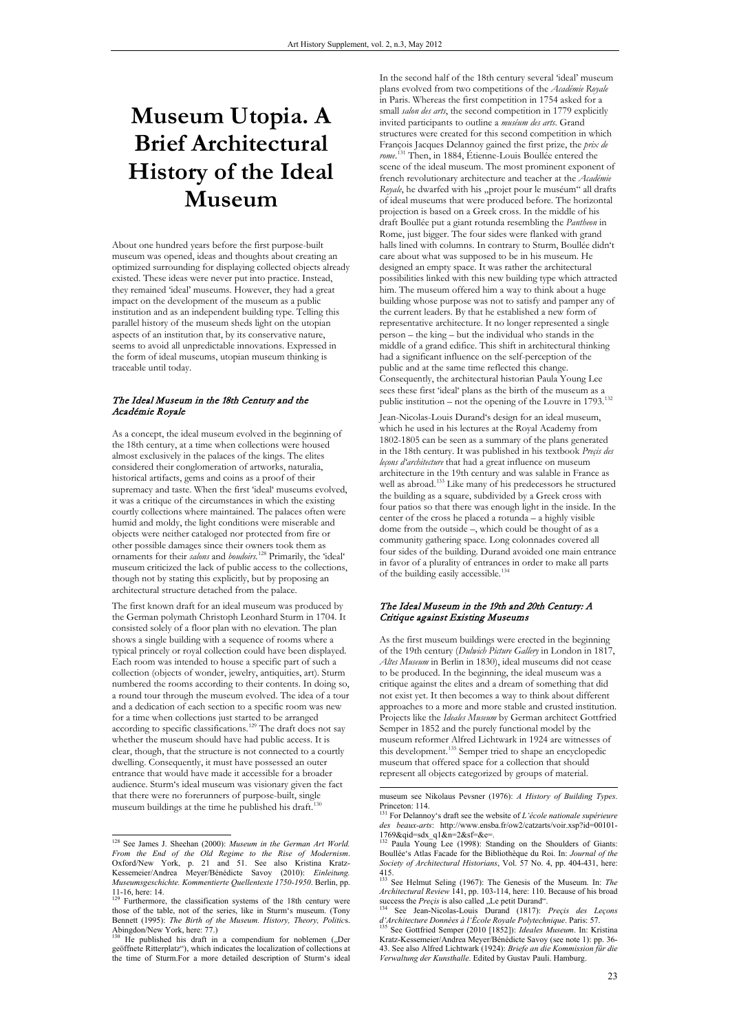# **Museum Utopia. A Brief Architectural History of the Ideal Museum**

About one hundred years before the first purpose-built museum was opened, ideas and thoughts about creating an optimized surrounding for displaying collected objects already existed. These ideas were never put into practice. Instead, they remained 'ideal' museums. However, they had a great impact on the development of the museum as a public institution and as an independent building type. Telling this parallel history of the museum sheds light on the utopian aspects of an institution that, by its conservative nature, seems to avoid all unpredictable innovations. Expressed in the form of ideal museums, utopian museum thinking is traceable until today.

### The Ideal Museum in the 18th Century and the Académie Royale

As a concept, the ideal museum evolved in the beginning of the 18th century, at a time when collections were housed almost exclusively in the palaces of the kings. The elites considered their conglomeration of artworks, naturalia, historical artifacts, gems and coins as a proof of their supremacy and taste. When the first 'ideal' museums evolved, it was a critique of the circumstances in which the existing courtly collections where maintained. The palaces often were humid and moldy, the light conditions were miserable and objects were neither cataloged nor protected from fire or other possible damages since their owners took them as ornaments for their *salons* and *boudoirs*. <sup>128</sup> Primarily, the 'ideal' museum criticized the lack of public access to the collections, though not by stating this explicitly, but by proposing an architectural structure detached from the palace.

The first known draft for an ideal museum was produced by the German polymath Christoph Leonhard Sturm in 1704. It consisted solely of a floor plan with no elevation. The plan shows a single building with a sequence of rooms where a typical princely or royal collection could have been displayed. Each room was intended to house a specific part of such a collection (objects of wonder, jewelry, antiquities, art). Sturm numbered the rooms according to their contents. In doing so, a round tour through the museum evolved. The idea of a tour and a dedication of each section to a specific room was new for a time when collections just started to be arranged according to specific classifications.<sup>129</sup> The draft does not say whether the museum should have had public access. It is clear, though, that the structure is not connected to a courtly dwelling. Consequently, it must have possessed an outer entrance that would have made it accessible for a broader audience. Sturm's ideal museum was visionary given the fact that there were no forerunners of purpose-built, single museum buildings at the time he published his draft.<sup>1</sup>

In the second half of the 18th century several 'ideal' museum plans evolved from two competitions of the *Académie Royale* in Paris. Whereas the first competition in 1754 asked for a small *salon des arts*, the second competition in 1779 explicitly invited participants to outline a *muséum des arts*. Grand structures were created for this second competition in which François Jacques Delannoy gained the first prize, the *prix de rome*. <sup>131</sup> Then, in 1884, Étienne-Louis Boullée entered the scene of the ideal museum. The most prominent exponent of french revolutionary architecture and teacher at the *Académie Royale*, he dwarfed with his "projet pour le muséum" all drafts of ideal museums that were produced before. The horizontal projection is based on a Greek cross. In the middle of his draft Boullée put a giant rotunda resembling the *Pantheon* in Rome, just bigger. The four sides were flanked with grand halls lined with columns. In contrary to Sturm, Boullée didn't care about what was supposed to be in his museum. He designed an empty space. It was rather the architectural possibilities linked with this new building type which attracted him. The museum offered him a way to think about a huge building whose purpose was not to satisfy and pamper any of the current leaders. By that he established a new form of representative architecture. It no longer represented a single person – the king – but the individual who stands in the middle of a grand edifice. This shift in architectural thinking had a significant influence on the self-perception of the public and at the same time reflected this change. Consequently, the architectural historian Paula Young Lee sees these first 'ideal' plans as the birth of the museum as a public institution – not the opening of the Louvre in  $1793$ .<sup>132</sup>

Jean-Nicolas-Louis Durand's design for an ideal museum, which he used in his lectures at the Royal Academy from 1802-1805 can be seen as a summary of the plans generated in the 18th century. It was published in his textbook *Preçis des leçons d'architecture* that had a great influence on museum architecture in the 19th century and was salable in France as well as abroad.<sup>133</sup> Like many of his predecessors he structured the building as a square, subdivided by a Greek cross with four patios so that there was enough light in the inside. In the center of the cross he placed a rotunda – a highly visible dome from the outside –, which could be thought of as a community gathering space. Long colonnades covered all four sides of the building. Durand avoided one main entrance in favor of a plurality of entrances in order to make all parts of the building easily accessible.134

### The Ideal Museum in the 19th and 20th Century: A Critique against Existing Museums

As the first museum buildings were erected in the beginning of the 19th century (*Dulwich Picture Gallery* in London in 1817, *Altes Museum* in Berlin in 1830), ideal museums did not cease to be produced. In the beginning, the ideal museum was a critique against the elites and a dream of something that did not exist yet. It then becomes a way to think about different approaches to a more and more stable and crusted institution. Projects like the *Ideales Museum* by German architect Gottfried Semper in 1852 and the purely functional model by the museum reformer Alfred Lichtwark in 1924 are witnesses of this development.135 Semper tried to shape an encyclopedic museum that offered space for a collection that should represent all objects categorized by groups of material.

 <sup>128</sup> See James J. Sheehan (2000): *Museum in the German Art World. From the End of the Old Regime to the Rise of Modernism*. Oxford/New York, p. 21 and 51. See also Kristina Kratz-Kessemeier/Andrea Meyer/Bénédicte Savoy (2010): *Einleitung. Museumsgeschichte. Kommentierte Quellentexte 1750-1950*. Berlin, pp.

<sup>11-16,</sup> here: 14.<br><sup>129</sup> Furthermore, the classification systems of the 18th century were those of the table, not of the series, like in Sturm's museum. (Tony Bennett (1995): *The Birth of the Museum. History, Theory, Politic*s. Abingdon/New York, here: 77.)

 $13$ <sup>0</sup> He published his draft in a compendium for noblemen ("Der geöffnete Ritterplatz"), which indicates the localization of collections at the time of Sturm.For a more detailed description of Sturm's ideal

museum see Nikolaus Pevsner (1976): *A History of Building Types*.

<sup>&</sup>lt;sup>131</sup> For Delannoy's draft see the website of *L'école nationale supérieure* des beaux-arts: http://www.ensba.fr/ow2/catzarts/voir.xsp?id=00101-<br>1769&qid=sdx q1&n=2&sf=&e=.

<sup>132</sup> Paula Young Lee (1998): Standing on the Shoulders of Giants: Boullée's Atlas Facade for the Bibliothèque du Roi. In: *Journal of the Society of Architectural Historians*, Vol. 57 No. 4, pp. 404-431, here:

<sup>415.</sup> <sup>133</sup> See Helmut Seling (1967): The Genesis of the Museum. In: *The Architectural Review* 141, pp. 103-114, here: 110. Because of his broad success the *Precis* is also called "Le petit Durand". success the *Preçis* is also called "Le petit Durand".<br><sup>134</sup> See Jean-Nicolas-Louis Durand (1817): *Preçis des Leçons* 

*d'Architecture Données à l'École Royale Polytechnique*. Paris: 57. <sup>135</sup> See Gottfried Semper (2010 [1852]): *Ideales Museum*. In: Kristina

Kratz-Kessemeier/Andrea Meyer/Bénédicte Savoy (see note 1): pp. 36- 43. See also Alfred Lichtwark (1924): *Briefe an die Kommission für die Verwaltung der Kunsthalle*. Edited by Gustav Pauli. Hamburg.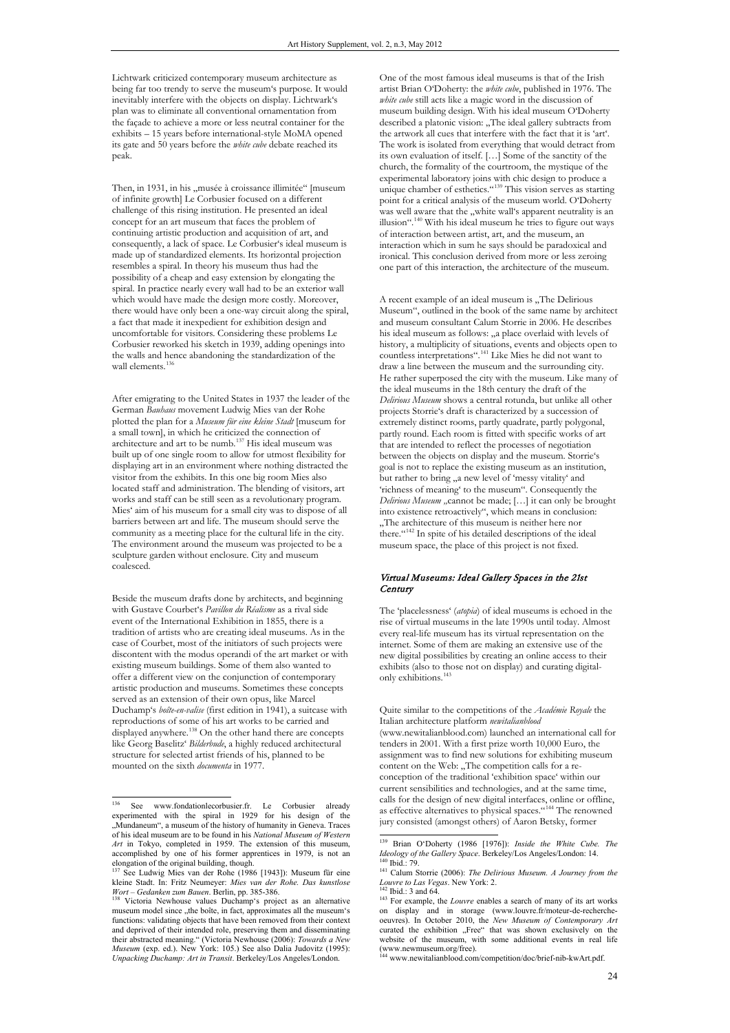Lichtwark criticized contemporary museum architecture as being far too trendy to serve the museum's purpose. It would inevitably interfere with the objects on display. Lichtwark's plan was to eliminate all conventional ornamentation from the façade to achieve a more or less neutral container for the exhibits – 15 years before international-style MoMA opened its gate and 50 years before the *white cube* debate reached its peak.

Then, in 1931, in his "musée à croissance illimitée" [museum of infinite growth] Le Corbusier focused on a different challenge of this rising institution. He presented an ideal concept for an art museum that faces the problem of continuing artistic production and acquisition of art, and consequently, a lack of space. Le Corbusier's ideal museum is made up of standardized elements. Its horizontal projection resembles a spiral. In theory his museum thus had the possibility of a cheap and easy extension by elongating the spiral. In practice nearly every wall had to be an exterior wall which would have made the design more costly. Moreover, there would have only been a one-way circuit along the spiral, a fact that made it inexpedient for exhibition design and uncomfortable for visitors. Considering these problems Le Corbusier reworked his sketch in 1939, adding openings into the walls and hence abandoning the standardization of the wall elements.<sup>1</sup>

After emigrating to the United States in 1937 the leader of the German *Bauhaus* movement Ludwig Mies van der Rohe plotted the plan for a *Museum für eine kleine Stadt* [museum for a small town], in which he criticized the connection of architecture and art to be numb.137 His ideal museum was built up of one single room to allow for utmost flexibility for displaying art in an environment where nothing distracted the visitor from the exhibits. In this one big room Mies also located staff and administration. The blending of visitors, art works and staff can be still seen as a revolutionary program. Mies' aim of his museum for a small city was to dispose of all barriers between art and life. The museum should serve the community as a meeting place for the cultural life in the city. The environment around the museum was projected to be a sculpture garden without enclosure. City and museum coalesced.

Beside the museum drafts done by architects, and beginning with Gustave Courbet's *Pavillon du Réalisme* as a rival side event of the International Exhibition in 1855, there is a tradition of artists who are creating ideal museums. As in the case of Courbet, most of the initiators of such projects were discontent with the modus operandi of the art market or with existing museum buildings. Some of them also wanted to offer a different view on the conjunction of contemporary artistic production and museums. Sometimes these concepts served as an extension of their own opus, like Marcel Duchamp's *boîte-en-valise* (first edition in 1941), a suitcase with reproductions of some of his art works to be carried and displayed anywhere.<sup>138</sup> On the other hand there are concepts like Georg Baselitz' *Bilderbude*, a highly reduced architectural structure for selected artist friends of his, planned to be mounted on the sixth *documenta* in 1977.

One of the most famous ideal museums is that of the Irish artist Brian O'Doherty: the *white cube*, published in 1976. The *white cube* still acts like a magic word in the discussion of museum building design. With his ideal museum O'Doherty described a platonic vision: "The ideal gallery subtracts from the artwork all cues that interfere with the fact that it is 'art'. The work is isolated from everything that would detract from its own evaluation of itself. […] Some of the sanctity of the church, the formality of the courtroom, the mystique of the experimental laboratory joins with chic design to produce a unique chamber of esthetics.<sup>"139</sup> This vision serves as starting point for a critical analysis of the museum world. O'Doherty was well aware that the "white wall's apparent neutrality is an illusion".140 With his ideal museum he tries to figure out ways of interaction between artist, art, and the museum, an interaction which in sum he says should be paradoxical and ironical. This conclusion derived from more or less zeroing one part of this interaction, the architecture of the museum.

A recent example of an ideal museum is "The Delirious Museum", outlined in the book of the same name by architect and museum consultant Calum Storrie in 2006. He describes his ideal museum as follows: "a place overlaid with levels of history, a multiplicity of situations, events and objects open to countless interpretations".141 Like Mies he did not want to draw a line between the museum and the surrounding city. He rather superposed the city with the museum. Like many of the ideal museums in the 18th century the draft of the *Delirious Museum* shows a central rotunda, but unlike all other projects Storrie's draft is characterized by a succession of extremely distinct rooms, partly quadrate, partly polygonal, partly round. Each room is fitted with specific works of art that are intended to reflect the processes of negotiation between the objects on display and the museum. Storrie's goal is not to replace the existing museum as an institution, but rather to bring "a new level of 'messy vitality' and 'richness of meaning' to the museum". Consequently the *Delirious Museum* "cannot be made; [...] it can only be brought into existence retroactively", which means in conclusion: "The architecture of this museum is neither here nor there.  $x^{142}$  In spite of his detailed descriptions of the ideal museum space, the place of this project is not fixed.

#### Virtual Museums: Ideal Gallery Spaces in the 21st **Century**

The 'placelessness' (*atopia*) of ideal museums is echoed in the rise of virtual museums in the late 1990s until today. Almost every real-life museum has its virtual representation on the internet. Some of them are making an extensive use of the new digital possibilities by creating an online access to their exhibits (also to those not on display) and curating digitalonly exhibitions.<sup>143</sup>

Quite similar to the competitions of the *Académie Royale* the Italian architecture platform *newitalianblood* 

(www.newitalianblood.com) launched an international call for tenders in 2001. With a first prize worth 10,000 Euro, the assignment was to find new solutions for exhibiting museum content on the Web: "The competition calls for a reconception of the traditional 'exhibition space' within our current sensibilities and technologies, and at the same time, calls for the design of new digital interfaces, online or offline, as effective alternatives to physical spaces."<sup>144</sup> The renowned jury consisted (amongst others) of Aaron Betsky, former

www.newitalianblood.com/competition/doc/brief-nib-kwArt.pdf

<sup>136</sup> See www.fondationlecorbusier.fr. Le Corbusier already experimented with the spiral in 1929 for his design of the "Mundaneum", a museum of the history of humanity in Geneva. Traces of his ideal museum are to be found in his *National Museum of Western Art* in Tokyo, completed in 1959. The extension of this museum, accomplished by one of his former apprentices in 1979, is not an elongation of the original building, though.

<sup>137</sup> See Ludwig Mies van der Rohe (1986 [1943]): Museum für eine kleine Stadt. In: Fritz Neumeyer: *Mies van der Rohe. Das kunstlose Wort – Gedanken zum Bauen*. Berlin, pp. 385-386.<br><sup>138</sup> Victoria Newhouse values Duchamp's project as an alternative

museum model since "the boîte, in fact, approximates all the museum's functions: validating objects that have been removed from their context and deprived of their intended role, preserving them and disseminating their abstracted meaning." (Victoria Newhouse (2006): *Towards a New Museum* (exp. ed.). New York: 105.) See also Dalia Judovitz (1995): *Unpacking Duchamp: Art in Transit*. Berkeley/Los Angeles/London.

<sup>&</sup>lt;sup>139</sup> Brian O'Doherty (1986 [1976]): *Inside the White Cube. The Ideology of the Gallery Space.* Berkeley/Los Angeles/London: 14.

*Ideology Ideology 14.* Bergeley. Berkeley, *The Delirious Museum. A Journey from the Louvre to Las Vegas.* New York: 2.

<sup>&</sup>lt;sup>142</sup> Ibid.: 3 and 64. *Louvre* enables a search of many of its art works on display and in storage (www.louvre.fr/moteur-de-rechercheoeuvres). In October 2010, the *New Museum of Contemporary Art* curated the exhibition "Free" that was shown exclusively on website of the museum, with some additional events in real life (www.newmuseum.org/free).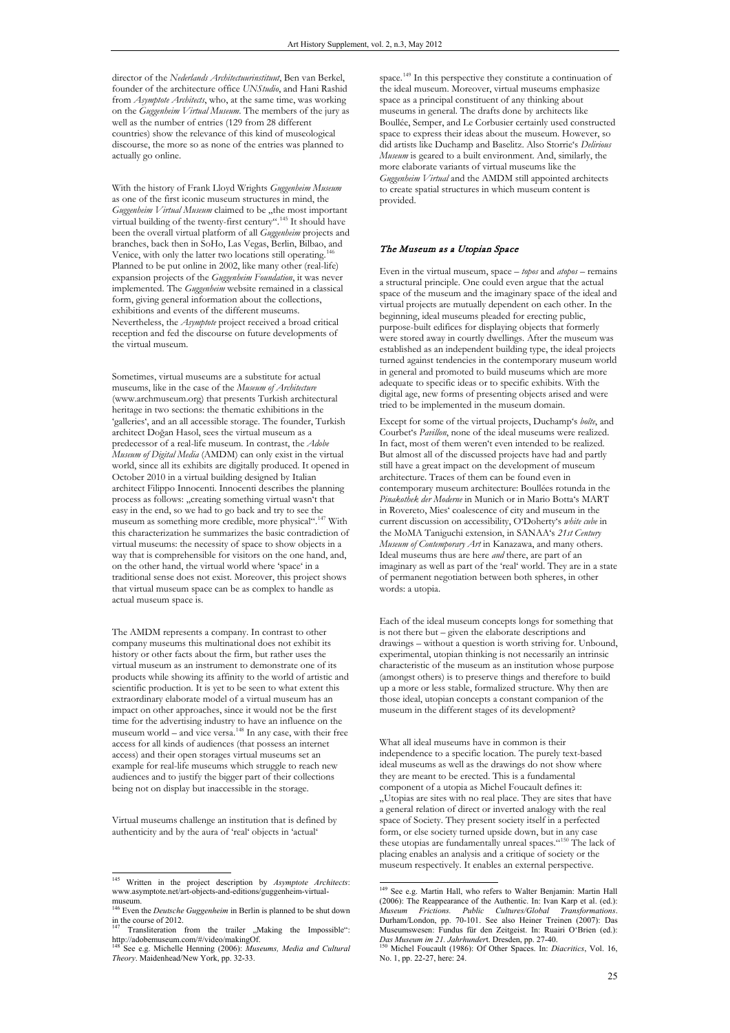director of the *Nederlands Architectuurinstituut*, Ben van Berkel, founder of the architecture office *UNStudio*, and Hani Rashid from *Asymptote Architects*, who, at the same time, was working on the *Guggenheim Virtual Museum*. The members of the jury as well as the number of entries (129 from 28 different countries) show the relevance of this kind of museological discourse, the more so as none of the entries was planned to actually go online.

With the history of Frank Lloyd Wrights *Guggenheim Museum*  as one of the first iconic museum structures in mind, the *Guggenheim Virtual Museum* claimed to be "the most important virtual building of the twenty-first century".<sup>145</sup> It should have been the overall virtual platform of all *Guggenheim* projects and branches, back then in SoHo, Las Vegas, Berlin, Bilbao, and Venice, with only the latter two locations still operating. Planned to be put online in 2002, like many other (real-life) expansion projects of the *Guggenheim Foundation*, it was never implemented. The *Guggenheim* website remained in a classical form, giving general information about the collections, exhibitions and events of the different museums. Nevertheless, the *Asymptote* project received a broad critical reception and fed the discourse on future developments of the virtual museum.

Sometimes, virtual museums are a substitute for actual museums, like in the case of the *Museum of Architecture* (www.archmuseum.org) that presents Turkish architectural heritage in two sections: the thematic exhibitions in the 'galleries', and an all accessible storage. The founder, Turkish architect Doğan Hasol, sees the virtual museum as a predecessor of a real-life museum. In contrast, the *Adobe Museum of Digital Media* (AMDM) can only exist in the virtual world, since all its exhibits are digitally produced. It opened in October 2010 in a virtual building designed by Italian architect Filippo Innocenti. Innocenti describes the planning process as follows: "creating something virtual wasn't that easy in the end, so we had to go back and try to see the museum as something more credible, more physical".147 With this characterization he summarizes the basic contradiction of virtual museums: the necessity of space to show objects in a way that is comprehensible for visitors on the one hand, and, on the other hand, the virtual world where 'space' in a traditional sense does not exist. Moreover, this project shows that virtual museum space can be as complex to handle as actual museum space is.

The AMDM represents a company. In contrast to other company museums this multinational does not exhibit its history or other facts about the firm, but rather uses the virtual museum as an instrument to demonstrate one of its products while showing its affinity to the world of artistic and scientific production. It is yet to be seen to what extent this extraordinary elaborate model of a virtual museum has an impact on other approaches, since it would not be the first time for the advertising industry to have an influence on the museum world – and vice versa.148 In any case, with their free access for all kinds of audiences (that possess an internet access) and their open storages virtual museums set an example for real-life museums which struggle to reach new audiences and to justify the bigger part of their collections being not on display but inaccessible in the storage.

Virtual museums challenge an institution that is defined by authenticity and by the aura of 'real' objects in 'actual'

space.<sup>149</sup> In this perspective they constitute a continuation of the ideal museum. Moreover, virtual museums emphasize space as a principal constituent of any thinking about museums in general. The drafts done by architects like Boullée, Semper, and Le Corbusier certainly used constructed space to express their ideas about the museum. However, so did artists like Duchamp and Baselitz. Also Storrie's *Delirious Museum* is geared to a built environment. And, similarly, the more elaborate variants of virtual museums like the *Guggenheim Virtual* and the AMDM still appointed architects to create spatial structures in which museum content is provided.

## The Museum as a Utopian Space

Even in the virtual museum, space – *topos* and *atopos* – remains a structural principle. One could even argue that the actual space of the museum and the imaginary space of the ideal and virtual projects are mutually dependent on each other. In the beginning, ideal museums pleaded for erecting public, purpose-built edifices for displaying objects that formerly were stored away in courtly dwellings. After the museum was established as an independent building type, the ideal projects turned against tendencies in the contemporary museum world in general and promoted to build museums which are more adequate to specific ideas or to specific exhibits. With the digital age, new forms of presenting objects arised and were tried to be implemented in the museum domain.

Except for some of the virtual projects, Duchamp's *boîte*, and Courbet's *Pavillon*, none of the ideal museums were realized. In fact, most of them weren't even intended to be realized. But almost all of the discussed projects have had and partly still have a great impact on the development of museum architecture. Traces of them can be found even in contemporary museum architecture: Boullées rotunda in the *Pinakothek der Moderne* in Munich or in Mario Botta's MART in Rovereto, Mies' coalescence of city and museum in the current discussion on accessibility, O'Doherty's *white cube* in the MoMA Taniguchi extension, in SANAA's *21st Century Museum of Contemporary Art* in Kanazawa, and many others. Ideal museums thus are here *and* there, are part of an imaginary as well as part of the 'real' world. They are in a state of permanent negotiation between both spheres, in other words: a utopia.

Each of the ideal museum concepts longs for something that is not there but – given the elaborate descriptions and drawings – without a question is worth striving for. Unbound, experimental, utopian thinking is not necessarily an intrinsic characteristic of the museum as an institution whose purpose (amongst others) is to preserve things and therefore to build up a more or less stable, formalized structure. Why then are those ideal, utopian concepts a constant companion of the museum in the different stages of its development?

What all ideal museums have in common is their independence to a specific location. The purely text-based ideal museums as well as the drawings do not show where they are meant to be erected. This is a fundamental component of a utopia as Michel Foucault defines it: "Utopias are sites with no real place. They are sites that have a general relation of direct or inverted analogy with the real space of Society. They present society itself in a perfected form, or else society turned upside down, but in any case these utopias are fundamentally unreal spaces."150 The lack of placing enables an analysis and a critique of society or the museum respectively. It enables an external perspective.

 <sup>145</sup> Written in the project description by *Asymptote Architects*: www.asymptote.net/art-objects-and-editions/guggenheim-virtual $museum$ 

<sup>&</sup>lt;sup>5</sup> Even the *Deutsche Guggenheim* in Berlin is planned to be shut down in the course of 2012.<br><sup>147</sup> Transliteration from the trailer "Making the Impossible":

http://adobemuseum.com/#/video/makingOf.

See e.g. Michelle Henning (2006): *Museums, Media and Cultural Theory*. Maidenhead/New York, pp. 32-33.

 <sup>149</sup> See e.g. Martin Hall, who refers to Walter Benjamin: Martin Hall (2006): The Reappearance of the Authentic. In: Ivan Karp et al. (ed.): *Museum Frictions. Public Cultures/Global Transformations*. Durham/London, pp. 70-101. See also Heiner Treinen (2007): Das Museumswesen: Fundus für den Zeitgeist. In: Ruairi O'Brien (ed.): *Das Museum im 21. Jahrhundert*. Dresden, pp. 27-40.<br><sup>150</sup> Michel Foucault (1986): Of Other Spaces. In: *Diacritics*, Vol. 16,

No. 1, pp. 22-27, here: 24.